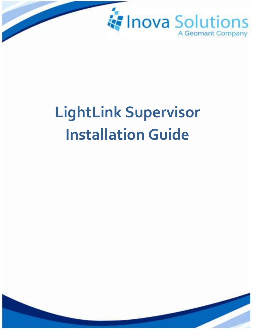

# **LightLink Supervisor Installation Guide**

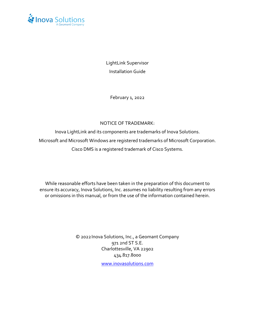

LightLink Supervisor Installation Guide

February 1, 2022

#### NOTICE OF TRADEMARK:

Inova LightLink and its components are trademarks of Inova Solutions. Microsoft and Microsoft Windows are registered trademarks of Microsoft Corporation. Cisco DMS is a registered trademark of Cisco Systems.

While reasonable efforts have been taken in the preparation of this document to ensure its accuracy, Inova Solutions, Inc. assumes no liability resulting from any errors or omissions in this manual, or from the use of the information contained herein.

> © 2022Inova Solutions, Inc., a Geomant Company 971 2nd ST S.E. Charlottesville, VA 22902 434.817.8000

> > [www.inovasolutions.com](http://www.inovasolutions.com/)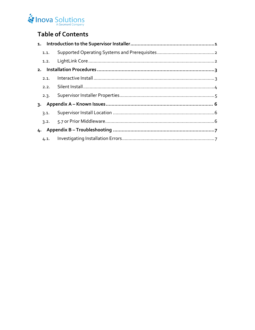#### Inova Solutions A Geomant Company

# **Table of Contents**

| 1.1. |  |
|------|--|
|      |  |
|      |  |
| 2.1. |  |
|      |  |
| 2.3. |  |
|      |  |
| 3.1. |  |
|      |  |
|      |  |
| 4.1. |  |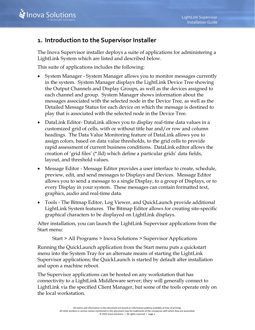## <span id="page-3-0"></span>**1. Introduction to the Supervisor Installer**

The Inova Supervisor installer deploys a suite of applications for administering a LightLink System which are listed and described below.

This suite of applications includes the following:

- System Manager System Manager allows you to monitor messages currently in the system. System Manager displays the LightLink Device Tree showing the Output Channels and Display Groups, as well as the devices assigned to each channel and group. System Manager shows information about the messages associated with the selected node in the Device Tree, as well as the Detailed Message Status for each device on which the message is destined to play that is associated with the selected node in the Device Tree.
- DataLink Editor- DataLink allows you to display real-time data values in a customized grid of cells, with or without title bar and/or row and column headings. The Data Value Monitoring feature of DataLink allows you to assign colors, based on data value thresholds, to the grid cells to provide rapid assessment of current business conditions. DataLink editor allows the creation of 'grid files' (\*.lld) which define a particular grids' data fields, layout, and threshold values.
- Message Editor Message Editor provides a user interface to create, schedule, preview, edit, and send messages to Displays and Devices. Message Editor allows you to send a message to a single Display, to a group of Displays, or to every Display in your system. These messages can contain formatted text, graphics, audio and real-time data.
- Tools The Bitmap Editor, Log Viewer, and QuickLaunch provide additional LightLink System features. The Bitmap Editor allows for creating site-specific graphical characters to be displayed on LightLink displays.

After installation, you can launch the LightLink Supervisor applications from the Start menu:

Start > All Programs > Inova Solutions > Supervisor Applications

Running the QuickLaunch application from the Start menu puts a quickstart menu into the System Tray for an alternate means of starting the LightLink Supervisor applications; the QuickLaunch is started by default after installation and upon a machine reboot.

The Supervisor applications can be hosted on any workstation that has connectivity to a LightLink Middleware server; they will generally connect to LightLink via the specified Client Manager, but some of the tools operate only on the local workstation.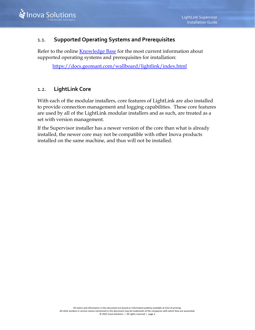#### <span id="page-4-0"></span>1.1. **Supported Operating Systems and Prerequisites**

Refer to the online [Knowledge Base](https://docs.geomant.com/wallboard/lightlink/index.html) for the most current information about supported operating systems and prerequisites for installation:

<https://docs.geomant.com/wallboard/lightlink/index.html>

#### <span id="page-4-1"></span>1.2. **LightLink Core**

With each of the modular installers, core features of LightLink are also installed to provide connection management and logging capabilities. These core features are used by all of the LightLink modular installers and as such, are treated as a set with version management.

If the Supervisor installer has a newer version of the core than what is already installed, the newer core may not be compatible with other Inova products installed on the same machine, and thus will not be installed.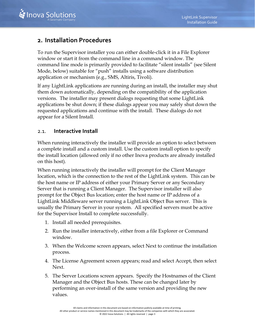### <span id="page-5-0"></span>**2. Installation Procedures**

To run the Supervisor installer you can either double-click it in a File Explorer window or start it from the command line in a command window. The command line mode is primarily provided to facilitate "silent installs" (see Silent Mode, below) suitable for "push" installs using a software distribution application or mechanism (e.g., SMS, Altiris, Tivoli).

If any LightLink applications are running during an install, the installer may shut them down automatically, depending on the compatibility of the application versions. The installer may present dialogs requesting that some LightLink applications be shut down; if these dialogs appear you may safely shut down the requested applications and continue with the install. These dialogs do not appear for a Silent Install.

#### <span id="page-5-1"></span>2.1. **Interactive Install**

When running interactively the installer will provide an option to select between a complete install and a custom install. Use the custom install option to specify the install location (allowed only if no other Inova products are already installed on this host).

When running interactively the installer will prompt for the Client Manager location, which is the connection to the rest of the LightLink system. This can be the host name or IP address of either your Primary Server or any Secondary Server that is running a Client Manager. The Supervisor installer will also prompt for the Object Bus location; enter the host name or IP address of a LightLink Middleware server running a LightLink Object Bus server. This is usually the Primary Server in your system. All specified servers must be active for the Supervisor Install to complete successfully.

- 1. Install all needed prerequisites.
- 2. [Run the installer](#page-5-0) interactively, either from a file Explorer or Command window.
- 3. When the Welcome screen appears, select Next to continue the installation process.
- 4. The License Agreement screen appears; read and select Accept, then select Next.
- 5. The Server Locations screen appears. Specify the Hostnames of the Client Manager and the Object Bus hosts. These can be changed later by performing an over-install of the same version and providing the new values.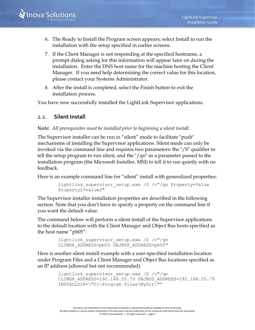- 6. The Ready to Install the Program screen appears; select Install to run the installation with the setup specified in earlier screens.
- 7. If the Client Manager is not responding at the specified hostname, a prompt dialog asking for this information will appear later on during the installation. Enter the DNS host name for the machine hosting the Client Manager. If you need help determining the correct value for this location, please contact your Systems Administrator.
- 8. After the install is completed, select the Finish button to exit the installation process.

You have now successfully installed the LightLink Supervisor applications.

#### <span id="page-6-0"></span>2.2. **Silent Install**

#### *Note: All prerequisites must be installed prior to beginning a silent install.*

The Supervisor installer can be run in "silent" mode to facilitate "push" mechanisms of installing the Supervisor applications. Silent mode can only be invoked via the command line and requires two parameters: the "/S" qualifier to tell the setup program to run silent, and the "/qn" as a parameter passed to the installation program (the Microsoft Installer, MSI) to tell it to run quietly with no feedback.

Here is an example command line for "silent" install with generalized properties:

```
lightlink supervisor setup.exe /S /v"/qn Property=Value
Property2=value2"
```
The Supervisor installer installation properties are described in the following section. Note that you don't have to specify a property on the command line if you want the default value.

The command below will perform a silent install of the Supervisor applications to the default location with the Client Manager and Object Bus hosts specified as the host name "pb05":

```
lightlink supervisor setup.exe /S /v"/qn
CLIMGR_ADDRESS=pb05 OBJBUS_ADDRESS=pb05"
```
Here is another silent install example with a user-specified installation location under Program Files and a Client Manager and Object Bus locations specified as an IP address (allowed but not recommended):

```
lightlink supervisor setup.exe /S /v"/qn
CLIMGR_ADDRESS=192.168.55.79 OBJBUS_ADDRESS=192.168.55.79
INSTALLDIR=\"C:\Program Files\MyDir\""
```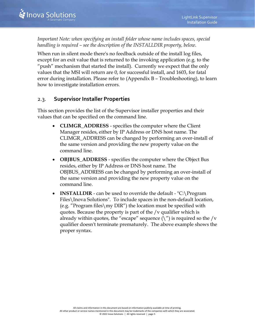*Important Note: when specifying an install folder whose name includes spaces, special handling is required – see the description of the INSTALLDIR property, below.*

When run in silent mode there's no feedback outside of the install log files, except for an exit value that is returned to the invoking application (e.g. to the "push" mechanism that started the install). Currently we expect that the only values that the MSI will return are 0, for successful install, and 1603, for fatal error during installation. Please refer to (Appendix B – Troubleshooting), to learn how to investigate installation errors.

#### <span id="page-7-0"></span>2.3. **Supervisor Installer Properties**

This section provides the list of the Supervisor installer properties and their values that can be specified on the command line.

- **CLIMGR\_ADDRESS** specifies the computer where the Client Manager resides, either by IP Address or DNS host name. The CLIMGR\_ADDRESS can be changed by performing an over-install of the same version and providing the new property value on the command line.
- **OBJBUS\_ADDRESS** specifies the computer where the Object Bus resides, either by IP Address or DNS host name. The OBJBUS\_ADDRESS can be changed by performing an over-install of the same version and providing the new property value on the command line.
- **INSTALLDIR** can be used to override the default "C:\Program Files\Inova Solutions". To include spaces in the non-default location, (e.g. "Program files\my DIR") the location must be specified with quotes. Because the property is part of the /v qualifier which is already within quotes, the "escape" sequence  $(\nabla)$  is required so the /v qualifier doesn't terminate prematurely. The above example shows the proper syntax.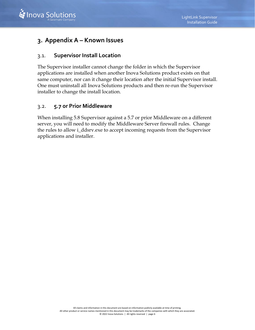

## <span id="page-8-0"></span>**3. Appendix A – Known Issues**

#### <span id="page-8-1"></span>3.1. **Supervisor Install Location**

The Supervisor installer cannot change the folder in which the Supervisor applications are installed when another Inova Solutions product exists on that same computer, nor can it change their location after the initial Supervisor install. One must uninstall all Inova Solutions products and then re-run the Supervisor installer to change the install location.

#### <span id="page-8-2"></span>3.2. **5.7 or Prior Middleware**

When installing 5.8 Supervisor against a 5.7 or prior Middleware on a different server, you will need to modify the Middleware Server firewall rules. Change the rules to allow i\_ddsrv.exe to accept incoming requests from the Supervisor applications and installer.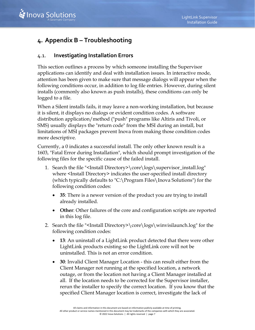# <span id="page-9-0"></span>**4. Appendix B – Troubleshooting**

#### <span id="page-9-1"></span>4.1. **Investigating Installation Errors**

This section outlines a process by which someone installing the Supervisor applications can identify and deal with installation issues. In interactive mode, attention has been given to make sure that message dialogs will appear when the following conditions occur, in addition to log file entries. However, during silent installs (commonly also known as push installs), these conditions can only be logged to a file.

When a Silent installs fails, it may leave a non-working installation, but because it is silent, it displays no dialogs or evident condition codes. A software distribution application/method ("push" programs like Altiris and Tivoli, or SMS) usually displays the "return code" from the MSI during an install, but limitations of MSI packages prevent Inova from making those condition codes more descriptive.

Currently, a 0 indicates a successful install. The only other known result is a 1603, "Fatal Error during Installation", which should prompt investigation of the following files for the specific cause of the failed install.

- 1. Search the file "<Install Directory>\core\logs\supervisor\_install.log" where <Install Directory> indicates the user-specified install directory (which typically defaults to "C:\Program Files\Inova Solutions") for the following condition codes:
	- **35**: There is a newer version of the product you are trying to install already installed.
	- **Other**: Other failures of the core and configuration scripts are reported in this log file.
- 2. Search the file "<Install Directory>\core\logs\winvisilaunch.log" for the following condition codes:
	- **13**: An uninstall of a LightLink product detected that there were other LightLink products existing so the LightLink core will not be uninstalled. This is not an error condition.
	- **30**: Invalid Client Manager Location this can result either from the Client Manager not running at the specified location, a network outage, or from the location not having a Client Manager installed at all. If the location needs to be corrected for the Supervisor installer, rerun the installer to specify the correct location. If you know that the specified Client Manager location is correct, investigate the lack of